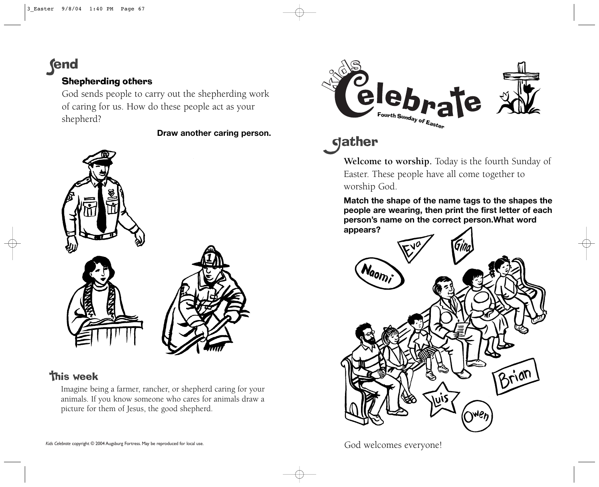**fend** 

## Shepherding others

God sends people to carry out the shepherding work of caring for us. How do these people act as your shepherd?

**Draw another caring person.**



## **This week**

Imagine being a farmer, rancher, or shepherd caring for your animals. If you know someone who cares for animals draw a picture for them of Jesus, the good shepherd.



**gather** 

**Welcome to worship.** Today is the fourth Sunday of Easter. These people have all come together to worship God.

**Match the shape of the name tags to the shapes the people are wearing, then print the first letter of each person's name on the correct person.What word appears?**